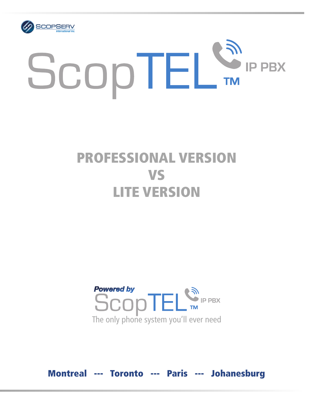



## PROFESSIONAL VERSION **VS** LITE VERSION



Montreal --- Toronto --- Paris --- Johanesburg